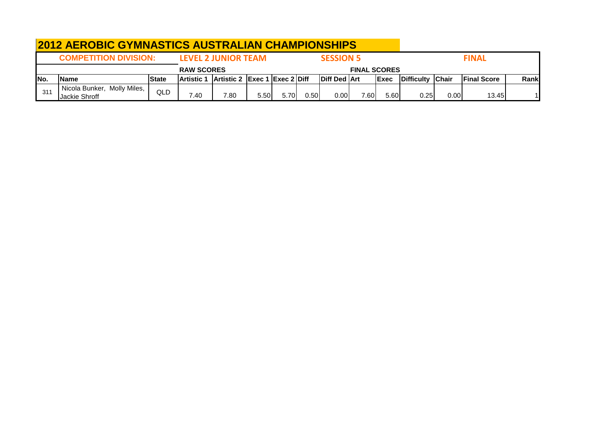|      | <b>2012 AEROBIC GYMNASTICS AUSTRALIAN CHAMPIONSHIPS</b> |        |                   |                                                       |       |      |      |                  |                     |              |                  |      |                    |      |
|------|---------------------------------------------------------|--------|-------------------|-------------------------------------------------------|-------|------|------|------------------|---------------------|--------------|------------------|------|--------------------|------|
|      | <b>COMPETITION DIVISION:</b>                            |        |                   | <b>LEVEL 2 JUNIOR TEAM</b>                            |       |      |      | <b>SESSION 5</b> |                     |              |                  |      | <b>FINAL</b>       |      |
|      |                                                         |        | <b>RAW SCORES</b> |                                                       |       |      |      |                  | <b>FINAL SCORES</b> |              |                  |      |                    |      |
| INo. | <b>Name</b>                                             | lState | <b>Artistic 1</b> | $\vert$ Artistic 2 $\vert$ Exec 1 $\vert$ Exec 2 Diff |       |      |      | Diff Ded Art     |                     | <b>IExec</b> | Difficulty Chair |      | <b>Final Score</b> | Rank |
| 311  | Nicola Bunker, Molly Miles,<br>Jackie Shroff            | QLD    | 7.40              | 7.80                                                  | 5.50l | 5.70 | 0.50 | 0.00             | 7.60                | 5.60         | 0.25             | 0.00 | 13.45              |      |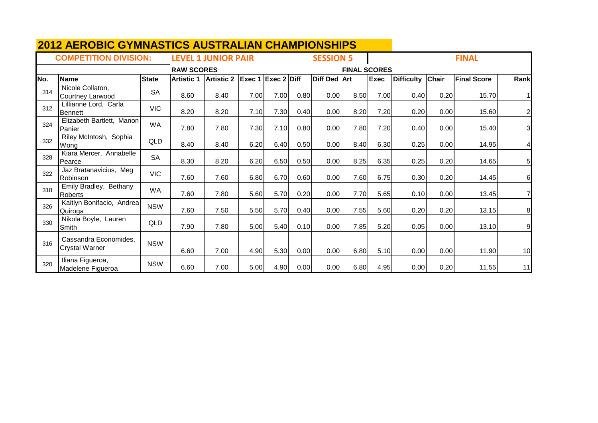|     | <b>COMPETITION DIVISION:</b>                   |              |                   | <b>LEVEL 1 JUNIOR PAIR</b> |                           |      |      | <b>SESSION 5</b> |                     |             |                   |              | <b>FINAL</b>       |                |
|-----|------------------------------------------------|--------------|-------------------|----------------------------|---------------------------|------|------|------------------|---------------------|-------------|-------------------|--------------|--------------------|----------------|
|     |                                                |              | <b>RAW SCORES</b> |                            |                           |      |      |                  | <b>FINAL SCORES</b> |             |                   |              |                    |                |
| No. | <b>Name</b>                                    | <b>State</b> | <b>Artistic 1</b> | <b>Artistic 2</b>          | <b>Exec 1 Exec 2 Diff</b> |      |      | Diff Ded Art     |                     | <b>Exec</b> | <b>Difficulty</b> | <b>Chair</b> | <b>Final Score</b> | Rank           |
| 314 | Nicole Collaton,<br>Courtney Larwood           | <b>SA</b>    | 8.60              | 8.40                       | 7.00                      | 7.00 | 0.80 | 0.00             | 8.50                | 7.00        | 0.40              | 0.20         | 15.70              |                |
| 312 | Lillianne Lord, Carla<br><b>Bennett</b>        | <b>VIC</b>   | 8.20              | 8.20                       | 7.10                      | 7.30 | 0.40 | 0.00             | 8.20                | 7.20        | 0.20              | 0.00         | 15.60              | $\mathbf{2}$   |
| 324 | Elizabeth Bartlett, Manon<br>Panier            | <b>WA</b>    | 7.80              | 7.80                       | 7.30                      | 7.10 | 0.80 | 0.00             | 7.80                | 7.20        | 0.40              | 0.00         | 15.40              | $\overline{3}$ |
| 332 | Riley McIntosh, Sophia<br>Wona                 | QLD          | 8.40              | 8.40                       | 6.20                      | 6.40 | 0.50 | 0.00             | 8.40                | 6.30        | 0.25              | 0.00         | 14.95              | 4              |
| 328 | Kiara Mercer, Annabelle<br>Pearce              | <b>SA</b>    | 8.30              | 8.20                       | 6.20                      | 6.50 | 0.50 | 0.00             | 8.25                | 6.35        | 0.25              | 0.20         | 14.65              | 5 <sub>l</sub> |
| 322 | Jaz Bratanavicius, Meg<br>Robinson             | <b>VIC</b>   | 7.60              | 7.60                       | 6.80                      | 6.70 | 0.60 | 0.00             | 7.60                | 6.75        | 0.30              | 0.20         | 14.45              | $6 \mid$       |
| 318 | Emily Bradley, Bethany<br><b>Roberts</b>       | <b>WA</b>    | 7.60              | 7.80                       | 5.60                      | 5.70 | 0.20 | 0.00             | 7.70                | 5.65        | 0.10              | 0.00         | 13.45              |                |
| 326 | Kaitlyn Bonifacio, Andrea<br>Quiroga           | <b>NSW</b>   | 7.60              | 7.50                       | 5.50                      | 5.70 | 0.40 | 0.00             | 7.55                | 5.60        | 0.20              | 0.20         | 13.15              | 8              |
| 330 | Nikola Boyle, Lauren<br>Smith                  | QLD          | 7.90              | 7.80                       | 5.00                      | 5.40 | 0.10 | 0.00             | 7.85                | 5.20        | 0.05              | 0.00         | 13.10              | 9              |
| 316 | Cassandra Economides,<br><b>Crystal Warner</b> | <b>NSW</b>   | 6.60              | 7.00                       | 4.90                      | 5.30 | 0.00 | 0.00             | 6.80                | 5.10        | 0.00              | 0.00         | 11.90              | 10             |
| 320 | Iliana Figueroa,<br>Madelene Figueroa          | <b>NSW</b>   | 6.60              | 7.00                       | 5.00                      | 4.90 | 0.00 | 0.00             | 6.80                | 4.95        | 0.00              | 0.20         | 11.55              | 11             |

## **2012 AEROBIC GYMNASTICS AUSTRALIAN CHAMPIONSHIPS**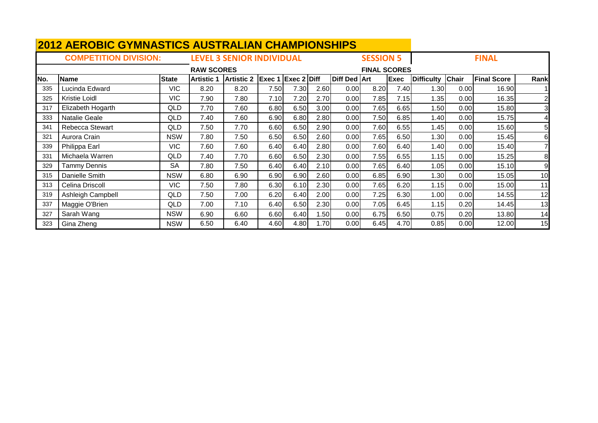|     | <b>2012 AEROBIC GYMNASTICS AUSTRALIAN CHAMPIONSHIPS</b> |              |                   |                                  |      |                           |                  |                     |                     |             |                   |              |                    |                        |
|-----|---------------------------------------------------------|--------------|-------------------|----------------------------------|------|---------------------------|------------------|---------------------|---------------------|-------------|-------------------|--------------|--------------------|------------------------|
|     | <b>COMPETITION DIVISION:</b>                            |              |                   | <b>LEVEL 3 SENIOR INDIVIDUAL</b> |      |                           |                  |                     | <b>SESSION 5</b>    |             |                   |              | <b>FINAL</b>       |                        |
|     |                                                         |              | <b>RAW SCORES</b> |                                  |      |                           |                  |                     | <b>FINAL SCORES</b> |             |                   |              |                    |                        |
| No. | <b>Name</b>                                             | <b>State</b> | <b>Artistic 1</b> | <b>Artistic 2</b>                |      | <b>Exec 1 Exec 2 Diff</b> |                  | <b>Diff Ded Art</b> |                     | <b>Exec</b> | <b>Difficulty</b> | <b>Chair</b> | <b>Final Score</b> | Rank                   |
| 335 | Lucinda Edward                                          | <b>VIC</b>   | 8.20              | 8.20                             | 7.50 | 7.30                      | 2.60             | 0.00                | 8.20                | 7.40        | 1.30              | 0.00         | 16.90              |                        |
| 325 | <b>Kristie Loidl</b>                                    | <b>VIC</b>   | 7.90              | 7.80                             | 7.10 | 7.20                      | 2.70             | 0.00                | 7.85                | 7.15        | 1.35              | 0.00         | 16.35              | $\mathsf{2}\mathsf{l}$ |
| 317 | Elizabeth Hogarth                                       | QLD          | 7.70              | 7.60                             | 6.80 | 6.50                      | 3.00             | 0.00                | 7.65                | 6.65        | 1.50              | 0.00         | 15.80              | $\mathbf{3}$           |
| 333 | Natalie Geale                                           | QLD          | 7.40              | 7.60                             | 6.90 | 6.80                      | 2.80             | 0.00                | 7.50                | 6.85        | 1.40              | 0.00         | 15.75              | 41                     |
| 341 | Rebecca Stewart                                         | <b>QLD</b>   | 7.50              | 7.70                             | 6.60 | 6.50                      | 2.90             | 0.00                | 7.60                | 6.55        | 1.45              | 0.00         | 15.60              | 5                      |
| 321 | Aurora Crain                                            | <b>NSW</b>   | 7.80              | 7.50                             | 6.50 | 6.50                      | 2.60             | 0.00                | 7.65                | 6.50        | 1.30              | 0.00         | 15.45              | 61                     |
| 339 | Philippa Earl                                           | <b>VIC</b>   | 7.60              | 7.60                             | 6.40 | 6.40                      | 2.80             | 0.00                | 7.60                | 6.40        | 1.40              | 0.00         | 15.40              |                        |
| 331 | Michaela Warren                                         | <b>QLD</b>   | 7.40              | 7.70                             | 6.60 | 6.50                      | 2.30             | 0.00                | 7.55                | 6.55        | 1.15              | 0.00         | 15.25              | 8                      |
| 329 | <b>Tammy Dennis</b>                                     | <b>SA</b>    | 7.80              | 7.50                             | 6.40 | 6.40                      | 2.10             | 0.00                | 7.65                | 6.40        | 1.05              | 0.00         | 15.10              | 9                      |
| 315 | Danielle Smith                                          | <b>NSW</b>   | 6.80              | 6.90                             | 6.90 | 6.90                      | 2.60             | 0.00                | 6.85                | 6.90        | 1.30              | 0.00         | 15.05              | 10                     |
| 313 | Celina Driscoll                                         | <b>VIC</b>   | 7.50              | 7.80                             | 6.30 | 6.10                      | 2.30             | 0.00                | 7.65                | 6.20        | 1.15              | 0.00         | 15.00              | 11                     |
| 319 | Ashleigh Campbell                                       | <b>QLD</b>   | 7.50              | 7.00                             | 6.20 | 6.40                      | 2.00             | 0.00                | 7.25                | 6.30        | 1.00              | 0.00         | 14.55              | 12                     |
| 337 | Maggie O'Brien                                          | <b>QLD</b>   | 7.00              | 7.10                             | 6.40 | 6.50                      | 2.30             | 0.00                | 7.05                | 6.45        | 1.15              | 0.20         | 14.45              | 13                     |
| 327 | Sarah Wang                                              | <b>NSW</b>   | 6.90              | 6.60                             | 6.60 | 6.40                      | .50 <sub>l</sub> | 0.00                | 6.75                | 6.50        | 0.75              | 0.20         | 13.80              | 14                     |
| 323 | Gina Zheng                                              | <b>NSW</b>   | 6.50              | 6.40                             | 4.60 | 4.80                      | 1.70             | 0.00                | 6.45                | 4.70        | 0.85              | 0.00         | 12.00              | 15                     |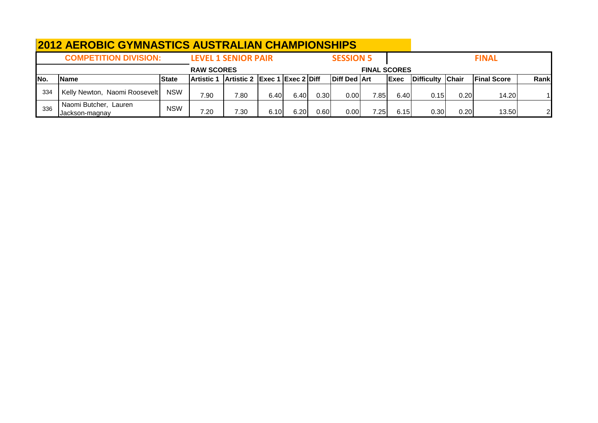|      | <b>2012 AEROBIC GYMNASTICS AUSTRALIAN CHAMPIONSHIPS</b> |              |                   |                               |      |      |       |                     |                     |             |                  |      |                    |                |
|------|---------------------------------------------------------|--------------|-------------------|-------------------------------|------|------|-------|---------------------|---------------------|-------------|------------------|------|--------------------|----------------|
|      | <b>COMPETITION DIVISION:</b>                            |              |                   | <b>LEVEL 1 SENIOR PAIR</b>    |      |      |       | <b>SESSION 5</b>    |                     |             |                  |      | <b>FINAL</b>       |                |
|      |                                                         |              | <b>RAW SCORES</b> |                               |      |      |       |                     | <b>FINAL SCORES</b> |             |                  |      |                    |                |
| INo. | Name                                                    | <b>State</b> | <b>Artistic 1</b> | Artistic 2 Exec 1 Exec 2 Diff |      |      |       | <b>Diff Ded Art</b> |                     | <b>Exec</b> | Difficulty Chair |      | <b>Final Score</b> | Rank           |
| 334  | Kelly Newton, Naomi Roosevelt                           | <b>NSW</b>   | 7.90              | 7.80                          | 6.40 | 6.40 | 0.30  | 0.00                | 7.85                | 6.40        | 0.15I            | 0.20 | 14.20              |                |
| 336  | Naomi Butcher, Lauren<br>Jackson-magnay                 | <b>NSW</b>   | 7.20              | 7.30                          | 6.10 | 6.20 | 0.601 | 0.00                | 7.25                | 6.15        | 0.30             | 0.20 | 13.50              | $\overline{2}$ |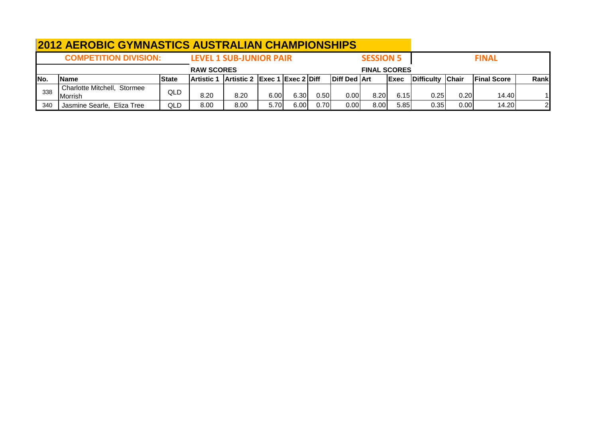|      | <b>2012 AEROBIC GYMNASTICS AUSTRALIAN CHAMPIONSHIPS</b> |              |                   |                                |      |      |      |                     |                     |             |                  |      |                    |      |
|------|---------------------------------------------------------|--------------|-------------------|--------------------------------|------|------|------|---------------------|---------------------|-------------|------------------|------|--------------------|------|
|      | <b>COMPETITION DIVISION:</b>                            |              |                   | <b>LEVEL 1 SUB-JUNIOR PAIR</b> |      |      |      |                     | <b>SESSION 5</b>    |             |                  |      | <b>FINAL</b>       |      |
|      |                                                         |              | <b>RAW SCORES</b> |                                |      |      |      |                     | <b>FINAL SCORES</b> |             |                  |      |                    |      |
| INo. | <b>Name</b>                                             | <b>State</b> | <b>Artistic 1</b> | Artistic 2 Exec 1 Exec 2 Diff  |      |      |      | <b>Diff Ded Art</b> |                     | <b>Exec</b> | Difficulty Chair |      | <b>Final Score</b> | Rank |
| 338  | Charlotte Mitchell, Stormee<br>Morrish                  | QLD          | 8.20              | 8.20                           | 6.00 | 6.30 | 0.50 | 0.00                | 8.20                | 6.15        | 0.25             | 0.20 | 14.40              |      |
| 340  | Jasmine Searle, Eliza Tree                              | QLD          | 8.00              | 8.00                           | 5.70 | 6.00 | 0.70 | 0.00                | 8.00                | 5.85        | 0.35             | 0.00 | 14.20              | വ    |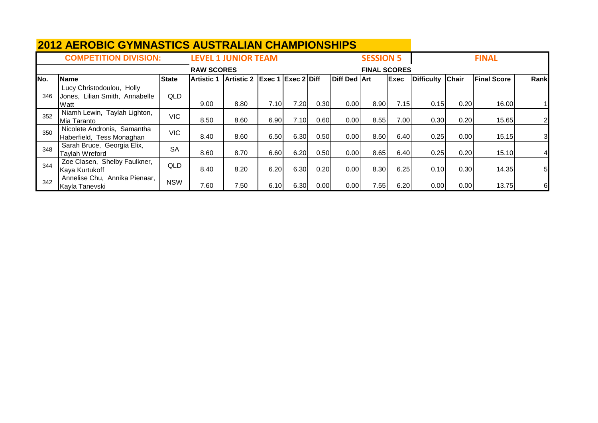|      | <b>2012 AEROBIC GYMNASTICS AUSTRALIAN CHAMPIONSHIPS</b>             |              |                   |                            |                           |       |      |                     |                     |       |                   |              |                    |                |
|------|---------------------------------------------------------------------|--------------|-------------------|----------------------------|---------------------------|-------|------|---------------------|---------------------|-------|-------------------|--------------|--------------------|----------------|
|      | <b>COMPETITION DIVISION:</b>                                        |              |                   | <b>LEVEL 1 JUNIOR TEAM</b> |                           |       |      |                     | <b>SESSION 5</b>    |       |                   |              | <b>FINAL</b>       |                |
|      |                                                                     |              | <b>RAW SCORES</b> |                            |                           |       |      |                     | <b>FINAL SCORES</b> |       |                   |              |                    |                |
| INo. | <b>Name</b>                                                         | <b>State</b> | <b>Artistic 1</b> | <b>Artistic 2</b>          | <b>Exec 1 Exec 2 Diff</b> |       |      | <b>Diff Ded Art</b> |                     | Exec  | <b>Difficulty</b> | <b>Chair</b> | <b>Final Score</b> | Rank           |
| 346  | Lucy Christodoulou, Holly<br>Jones, Lilian Smith, Annabelle<br>Watt | <b>QLD</b>   | 9.00              | 8.80                       | 7.10                      | 7.20  | 0.30 | 0.00                | 8.90                | 7.15I | 0.15              | 0.20         | 16.00              |                |
| 352  | Niamh Lewin, Taylah Lighton,<br>Mia Taranto                         | <b>VIC</b>   | 8.50              | 8.60                       | 6.90                      | 7.10I | 0.60 | 0.00                | 8.55                | 7.00  | 0.30              | 0.20         | 15.65              | $\mathbf{2}$   |
| 350  | Nicolete Andronis, Samantha<br>Haberfield, Tess Monaghan            | <b>VIC</b>   | 8.40              | 8.60                       | 6.50                      | 6.30  | 0.50 | 0.00                | 8.50                | 6.40  | 0.25              | 0.00         | 15.15              | 3 <sub>l</sub> |
| 348  | Sarah Bruce, Georgia Elix,<br>Taylah Wreford                        | <b>SA</b>    | 8.60              | 8.70                       | 6.60                      | 6.20  | 0.50 | 0.00                | 8.65                | 6.40  | 0.25              | 0.20         | 15.10              | 41             |
| 344  | Zoe Clasen, Shelby Faulkner,<br>Kaya Kurtukoff                      | <b>QLD</b>   | 8.40              | 8.20                       | 6.20                      | 6.30  | 0.20 | 0.00                | 8.30                | 6.25  | 0.10              | 0.30         | 14.35              | 5 <sub>l</sub> |
| 342  | Annelise Chu, Annika Pienaar,<br>Kayla Tanevski                     | <b>NSW</b>   | 7.60              | 7.50                       | 6.10                      | 6.30  | 0.00 | 0.00                | 7.55                | 6.20  | 0.00              | 0.00         | 13.75              | $6 \mid$       |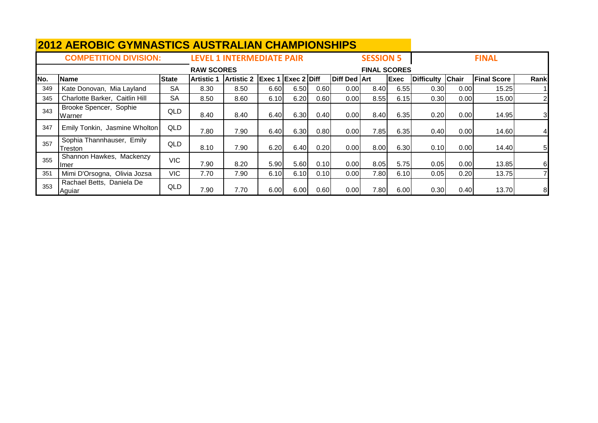|     | <b>2012 AEROBIC GYMNASTICS AUSTRALIAN CHAMPIONSHIPS</b> |              |                   |                                  |                           |       |      |              |                     |             |                  |       |                    |                |
|-----|---------------------------------------------------------|--------------|-------------------|----------------------------------|---------------------------|-------|------|--------------|---------------------|-------------|------------------|-------|--------------------|----------------|
|     | <b>COMPETITION DIVISION:</b>                            |              |                   | <b>LEVEL 1 INTERMEDIATE PAIR</b> |                           |       |      |              | <b>SESSION 5</b>    |             |                  |       | <b>FINAL</b>       |                |
|     |                                                         |              | <b>RAW SCORES</b> |                                  |                           |       |      |              | <b>FINAL SCORES</b> |             |                  |       |                    |                |
| No. | Name                                                    | <b>State</b> | <b>Artistic 1</b> | <b>Artistic 2</b>                | <b>Exec 1 Exec 2 Diff</b> |       |      | Diff Ded Art |                     | <b>Exec</b> | Difficulty Chair |       | <b>Final Score</b> | Rank           |
| 349 | Kate Donovan, Mia Layland                               | <b>SA</b>    | 8.30              | 8.50                             | 6.60                      | 6.50  | 0.60 | 0.00         | 8.40                | 6.55        | 0.30             | 0.00  | 15.25              |                |
| 345 | Charlotte Barker, Caitlin Hill                          | <b>SA</b>    | 8.50              | 8.60                             | 6.10                      | 6.20  | 0.60 | 0.00         | 8.55                | 6.15        | 0.30             | 0.00  | 15.00              | $\overline{2}$ |
| 343 | Brooke Spencer, Sophie<br>Warner                        | QLD          | 8.40              | 8.40                             | 6.40                      | 6.30  | 0.40 | 0.00         | 8.40                | 6.35        | 0.20             | 0.001 | 14.95              | $\overline{3}$ |
| 347 | Emily Tonkin, Jasmine Wholton                           | QLD          | 7.80              | 7.90                             | 6.40                      | 6.30  | 0.80 | 0.00         | 7.85                | 6.35        | 0.40             | 0.00  | 14.60              | $\overline{4}$ |
| 357 | Sophia Thannhauser, Emily<br>Treston                    | <b>QLD</b>   | 8.10              | 7.90                             | 6.20                      | 6.40I | 0.20 | 0.00         | 8.00                | 6.30        | 0.10             | 0.001 | 14.40              | 5 <sub>l</sub> |
| 355 | Shannon Hawkes, Mackenzy<br>Ilmer                       | <b>VIC</b>   | 7.90              | 8.20                             | 5.90                      | 5.60  | 0.10 | 0.00         | 8.05                | 5.75        | 0.05             | 0.001 | 13.85              | 6              |
| 351 | Mimi D'Orsogna, Olivia Jozsa                            | VIC.         | 7.70              | 7.90                             | 6.10                      | 6.10  | 0.10 | 0.00         | 7.80                | 6.10        | 0.05             | 0.20  | 13.75              | $\overline{7}$ |
| 353 | Rachael Betts, Daniela De<br>Aguiar                     | QLD          | 7.90              | 7.70                             | 6.00                      | 6.00  | 0.60 | 0.00         | 7.80                | 6.00        | 0.30             | 0.40  | 13.70              | 8 <sup>1</sup> |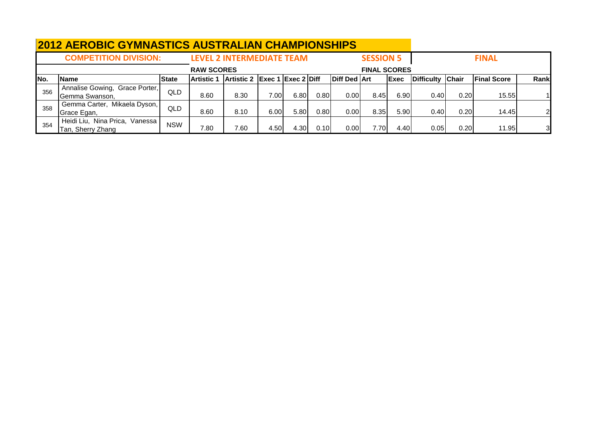|     | <b>2012 AEROBIC GYMNASTICS AUSTRALIAN CHAMPIONSHIPS</b> |              |                   |                                  |                                                |      |       |                     |                     |             |                  |      |                    |                |
|-----|---------------------------------------------------------|--------------|-------------------|----------------------------------|------------------------------------------------|------|-------|---------------------|---------------------|-------------|------------------|------|--------------------|----------------|
|     | <b>COMPETITION DIVISION:</b>                            |              |                   | <b>LEVEL 2 INTERMEDIATE TEAM</b> |                                                |      |       |                     | <b>SESSION 5</b>    |             |                  |      | <b>FINAL</b>       |                |
|     |                                                         |              | <b>RAW SCORES</b> |                                  |                                                |      |       |                     | <b>FINAL SCORES</b> |             |                  |      |                    |                |
| No. | <b>Name</b>                                             | <b>State</b> | Artistic '        | <b>Artistic 2</b>                | $\left $ Exec 1 $\left $ Exec 2 $\right $ Diff |      |       | <b>Diff Ded Art</b> |                     | <b>Exec</b> | Difficulty Chair |      | <b>Final Score</b> | Rank           |
| 356 | Annalise Gowing, Grace Porter,<br>Gemma Swanson,        | QLD          | 8.60              | 8.30                             | 7.00                                           | 6.80 | 0.801 | 0.00                | 8.45                | 6.90        | 0.40             | 0.20 | 15.55              |                |
| 358 | Gemma Carter, Mikaela Dyson,<br>Grace Egan,             | QLD          | 8.60              | 8.10                             | 6.00                                           | 5.80 | 0.80  | 0.00                | 8.35                | 5.90        | 0.40             | 0.20 | 14.45              | $\overline{2}$ |
| 354 | Heidi Liu, Nina Prica, Vanessa<br>Tan, Sherry Zhang     | <b>NSW</b>   | 7.80              | 7.60                             | 4.50                                           | 4.30 | 0.10I | 0.00                | 7.70                | 4.40        | 0.05             | 0.20 | 11.95              | 3              |